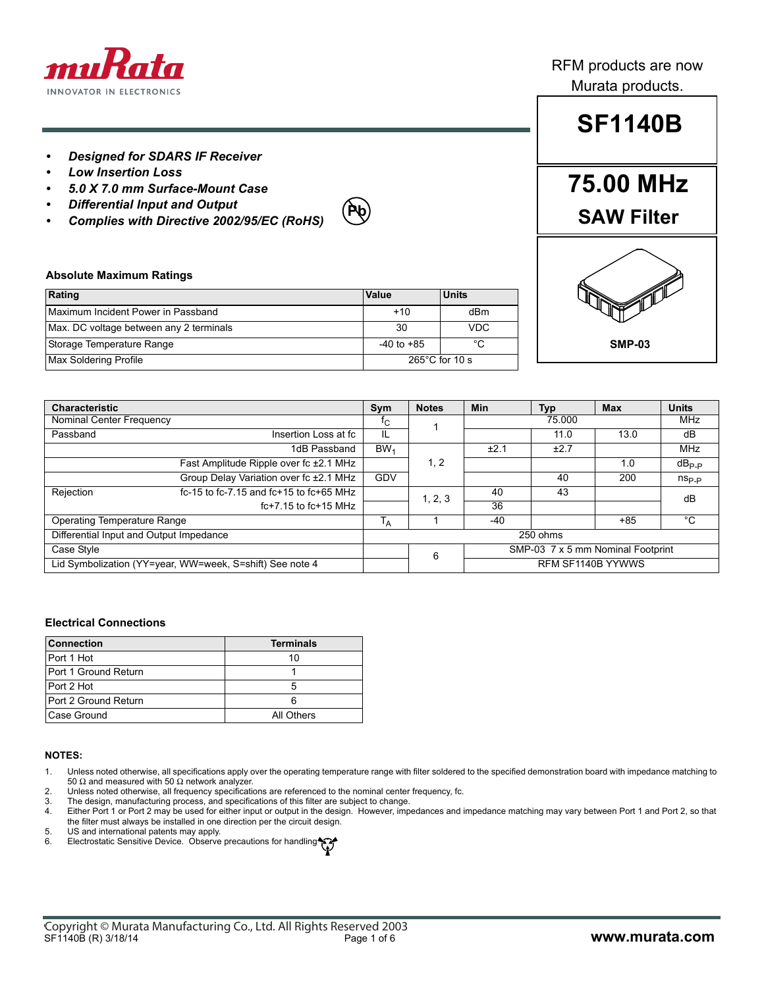

### *• Designed for SDARS IF Receiver*

- *Low Insertion Loss*
- *5.0 X 7.0 mm Surface-Mount Case*
- *Differential Input and Output*
- *Complies with Directive 2002/95/EC (RoHS)*



### RFM products are now Murata products.

# **SF1140B**

## **75.00 MHz SAW Filter**



#### **Absolute Maximum Ratings**

| Rating                                  | Value                    | <b>Units</b> |  |
|-----------------------------------------|--------------------------|--------------|--|
| Maximum Incident Power in Passband      | $+10$                    | dBm          |  |
| Max. DC voltage between any 2 terminals | 30                       | <b>VDC</b>   |  |
| Storage Temperature Range               | $-40$ to $+85$           | °C           |  |
| <b>Max Soldering Profile</b>            | $265^{\circ}$ C for 10 s |              |  |

| <b>Characteristic</b>                                    |                                               | Sym                                    | <b>Notes</b>      | <b>Min</b>           | Typ  | <b>Max</b> | <b>Units</b>   |
|----------------------------------------------------------|-----------------------------------------------|----------------------------------------|-------------------|----------------------|------|------------|----------------|
| Nominal Center Frequency                                 |                                               | TС                                     |                   | 75.000               |      | MHz        |                |
| Passband                                                 | Insertion Loss at fc                          | IL                                     |                   |                      | 11.0 | 13.0       | dB             |
|                                                          | 1dB Passband                                  | BW <sub>1</sub>                        |                   | ±2.1                 | ±2.7 |            | <b>MHz</b>     |
|                                                          | Fast Amplitude Ripple over fc ±2.1 MHz        |                                        | 1, 2              |                      |      | 1.0        | $dB_{P.P}$     |
|                                                          | Group Delay Variation over fc ±2.1 MHz        | <b>GDV</b>                             |                   |                      | 40   | 200        | $n_{\rm Sp,p}$ |
| Rejection                                                | $fc-15$ to fc-7.15 and $fc+15$ to $fc+65$ MHz |                                        | 1, 2, 3           | 40                   | 43   |            | dB             |
|                                                          | $fc+7.15$ to $fc+15$ MHz                      |                                        |                   | 36                   |      |            |                |
| <b>Operating Temperature Range</b>                       |                                               | ١д                                     |                   | °C<br>$+85$<br>$-40$ |      |            |                |
| Differential Input and Output Impedance                  |                                               | 250 ohms                               |                   |                      |      |            |                |
| Case Style                                               |                                               | SMP-03 7 x 5 mm Nominal Footprint<br>6 |                   |                      |      |            |                |
| Lid Symbolization (YY=year, WW=week, S=shift) See note 4 |                                               |                                        | RFM SF1140B YYWWS |                      |      |            |                |

#### **Electrical Connections**

| <b>Connection</b>    | <b>Terminals</b> |  |  |
|----------------------|------------------|--|--|
| Port 1 Hot           | 10               |  |  |
| Port 1 Ground Return |                  |  |  |
| Port 2 Hot           | 5                |  |  |
| Port 2 Ground Return | 6                |  |  |
| Case Ground          | All Others       |  |  |

#### **NOTES:**

- 1. Unless noted otherwise, all specifications apply over the operating temperature range with filter soldered to the specified demonstration board with impedance matching to 50  $Ω$  and measured with 50  $Ω$  network analyzer.
- 2. Unless noted otherwise, all frequency specifications are referenced to the nominal center frequency, fc.
- 3. The design, manufacturing process, and specifications of this filter are subject to change.
- 4. Either Port 1 or Port 2 may be used for either input or output in the design. However, impedances and impedance matching may vary between Port 1 and Port 2, so that the filter must always be installed in one direction per the circuit design.
- 5. US and international patents may apply.
- 6. Electrostatic Sensitive Device. Observe precautions for handling.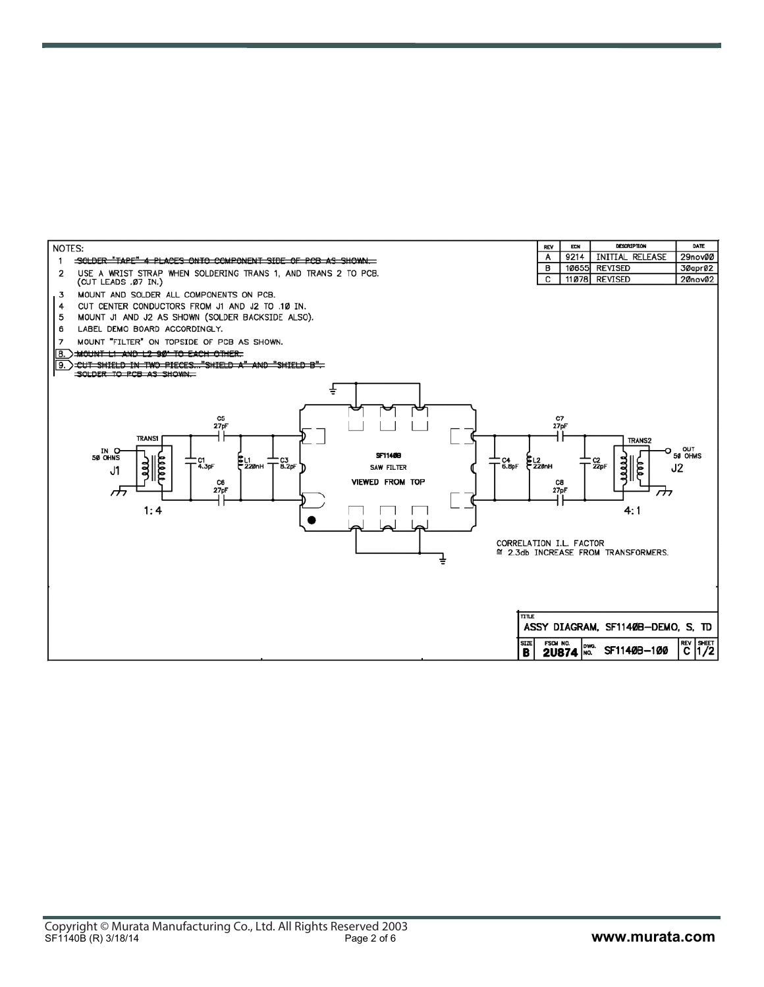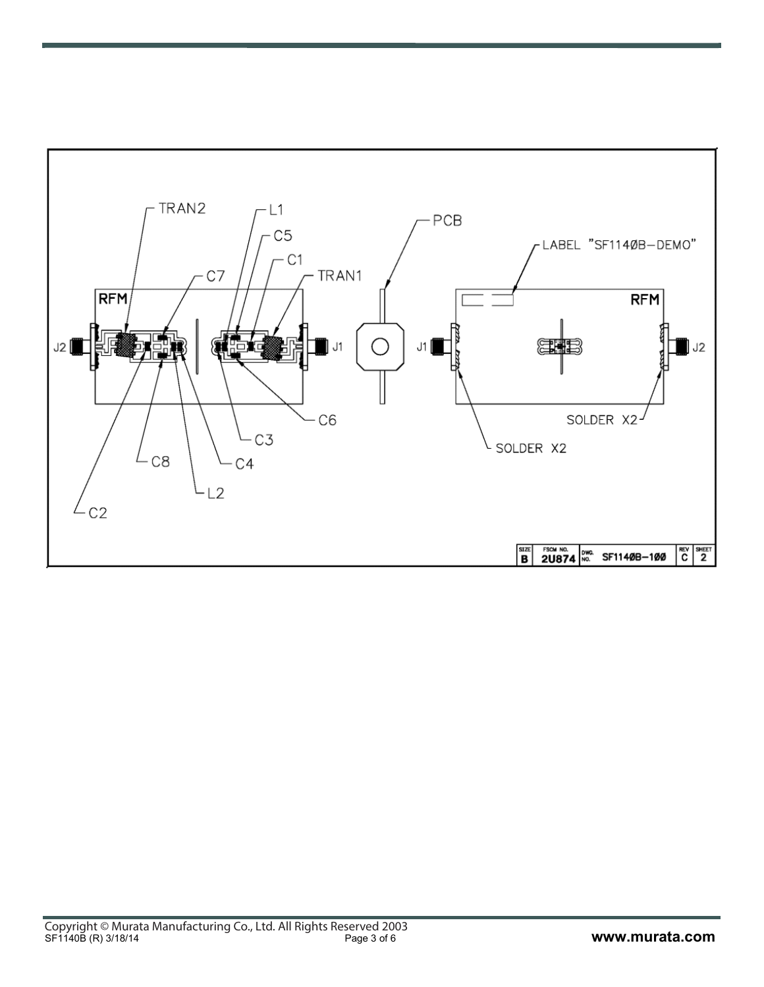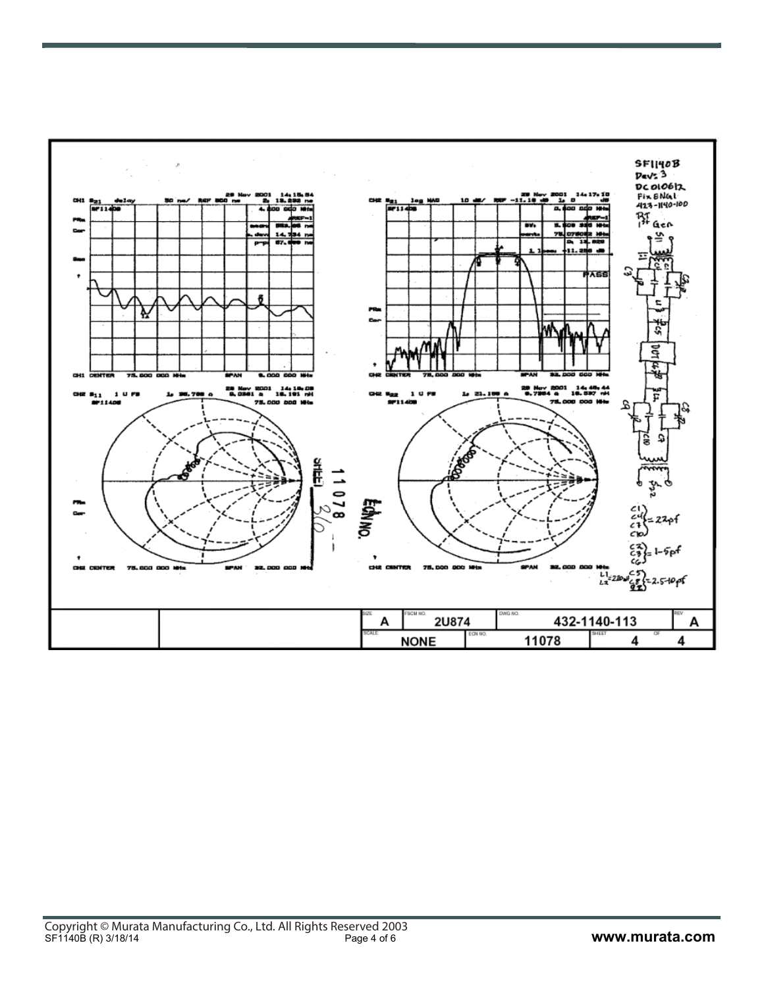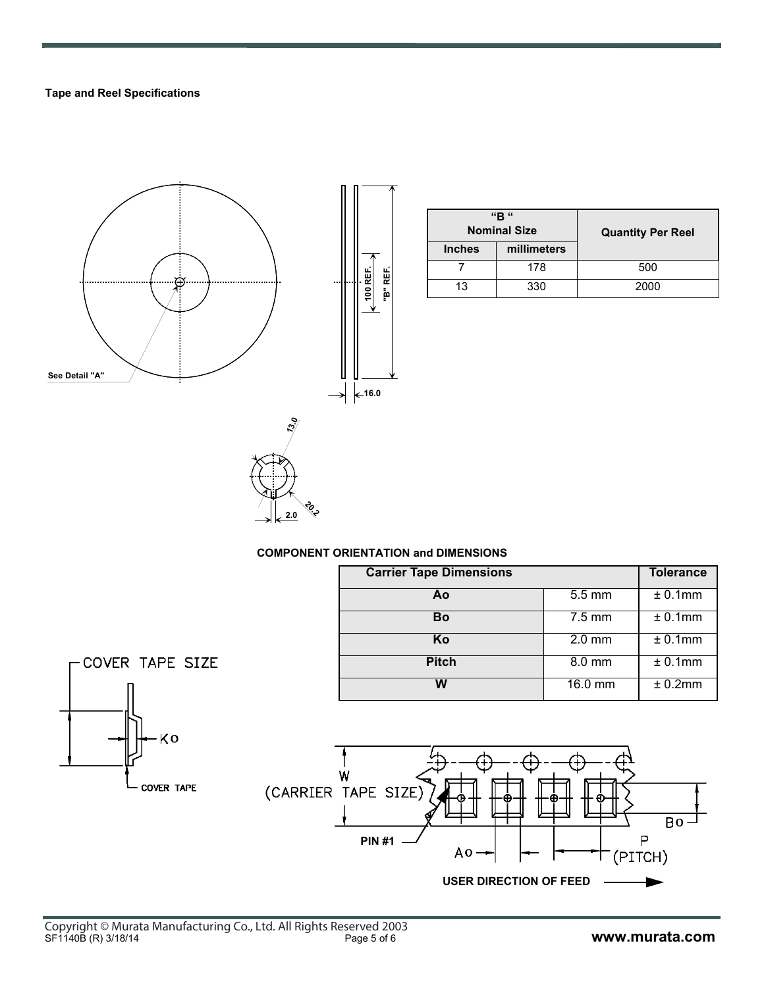### **Tape and Reel Specifications**



| "R"<br><b>Nominal Size</b> |             | <b>Quantity Per Reel</b> |
|----------------------------|-------------|--------------------------|
| <b>Inches</b>              | millimeters |                          |
|                            | 178         | 500                      |
| 13                         | 330         | 2000                     |



**20.2 2.0**

| <b>Carrier Tape Dimensions</b> |                  | <b>Tolerance</b> |
|--------------------------------|------------------|------------------|
| Αo                             | 5.5 mm           | $± 0.1$ mm       |
| Bo                             | $7.5 \text{ mm}$ | $± 0.1$ mm       |
| Κo                             | $2.0$ mm         | ± 0.1mm          |
| <b>Pitch</b>                   | 8.0 mm           | ± 0.1mm          |
| W                              | 16.0 mm          | ± 0.2mm          |



COVER TAPE SIZE

Ko

COVER TAPE

 $Bo -$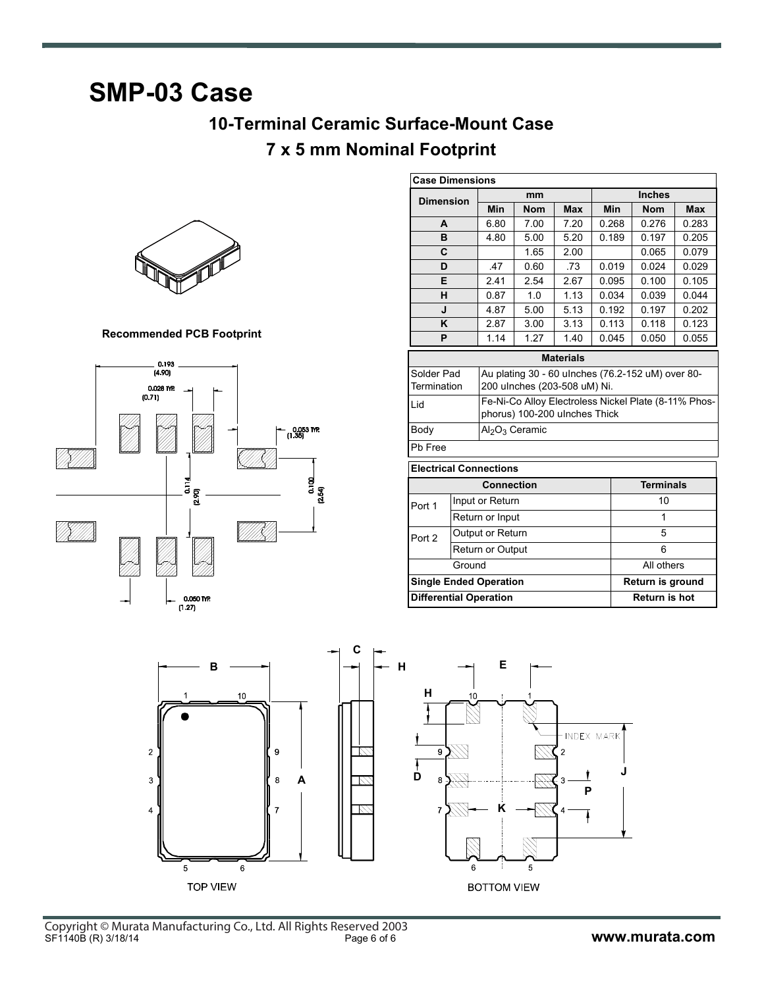## **SMP-03 Case**

### **10-Terminal Ceramic Surface-Mount Case 7 x 5 mm Nominal Footprint**



**Recommended PCB Footprint**



| <b>Case Dimensions</b>                         |  |                                                      |                               |                  |                  |                                                   |            |  |
|------------------------------------------------|--|------------------------------------------------------|-------------------------------|------------------|------------------|---------------------------------------------------|------------|--|
| <b>Dimension</b>                               |  | mm                                                   |                               |                  |                  | <b>Inches</b>                                     |            |  |
|                                                |  | <b>Min</b>                                           | <b>Nom</b>                    | <b>Max</b>       | <b>Min</b>       | <b>Nom</b>                                        | <b>Max</b> |  |
| A                                              |  | 6.80                                                 | 7.00                          | 7 20             | 0.268            | 0.276                                             | 0.283      |  |
| B                                              |  | 4.80                                                 | 5.00                          | 5.20             | 0.189            | 0.197                                             | 0.205      |  |
| C                                              |  |                                                      | 1.65                          | 2.00             |                  | 0.065                                             | 0.079      |  |
| D                                              |  | .47                                                  | 0.60                          | .73              | 0.019            | 0.024                                             | 0.029      |  |
| Е                                              |  | 2.41                                                 | 2.54                          | 2.67             | 0.095            | 0.100                                             | 0.105      |  |
| н                                              |  | 0.87                                                 | 1 <sub>0</sub>                | 1.13             | 0.034            | 0.039                                             | 0.044      |  |
| J                                              |  | 4.87                                                 | 5.00                          | 5.13             | 0.192            | 0.197                                             | 0.202      |  |
| K                                              |  | 2.87                                                 | 3.00                          | 3.13             | 0.113            | 0.118                                             | 0.123      |  |
| P                                              |  | 1.14                                                 | 1.27                          | 1.40             | 0.045            | 0.050                                             | 0.055      |  |
|                                                |  |                                                      |                               | <b>Materials</b> |                  |                                                   |            |  |
| Solder Pad                                     |  |                                                      |                               |                  |                  | Au plating 30 - 60 ulnches (76.2-152 uM) over 80- |            |  |
| Termination                                    |  |                                                      | 200 ulnches (203-508 uM) Ni.  |                  |                  |                                                   |            |  |
| Lid                                            |  | Fe-Ni-Co Alloy Electroless Nickel Plate (8-11% Phos- |                               |                  |                  |                                                   |            |  |
|                                                |  |                                                      | phorus) 100-200 ulnches Thick |                  |                  |                                                   |            |  |
| Body<br>Al <sub>2</sub> O <sub>3</sub> Ceramic |  |                                                      |                               |                  |                  |                                                   |            |  |
| Pb Free                                        |  |                                                      |                               |                  |                  |                                                   |            |  |
| <b>Electrical Connections</b>                  |  |                                                      |                               |                  |                  |                                                   |            |  |
| <b>Connection</b>                              |  |                                                      |                               |                  | <b>Terminals</b> |                                                   |            |  |
| Port 1                                         |  | Input or Return                                      |                               |                  |                  | 10                                                |            |  |
|                                                |  | Return or Input                                      |                               |                  |                  | 1                                                 |            |  |
| Port 2                                         |  | Output or Return                                     |                               |                  |                  | 5                                                 |            |  |
|                                                |  | <b>Return or Output</b>                              | 6                             |                  |                  |                                                   |            |  |
| Ground                                         |  |                                                      |                               |                  | All others       |                                                   |            |  |
| <b>Single Ended Operation</b>                  |  |                                                      |                               |                  | Return is ground |                                                   |            |  |
| <b>Differential Operation</b>                  |  |                                                      |                               |                  | Return is hot    |                                                   |            |  |
|                                                |  |                                                      |                               |                  |                  |                                                   |            |  |